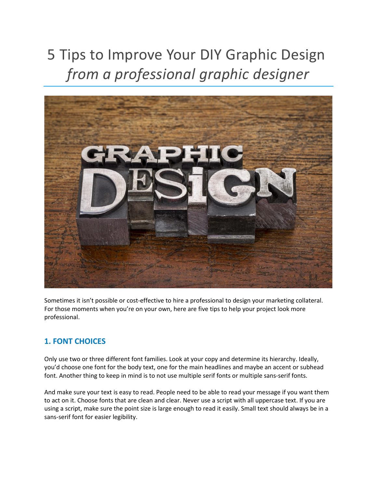# 5 Tips to Improve Your DIY Graphic Design *from a professional graphic designer*



Sometimes it isn't possible or cost-effective to hire a professional to design your marketing collateral. For those moments when you're on your own, here are five tips to help your project look more professional.

## **1. FONT CHOICES**

Only use two or three different font families. Look at your copy and determine its hierarchy. Ideally, you'd choose one font for the body text, one for the main headlines and maybe an accent or subhead font. Another thing to keep in mind is to not use multiple serif fonts or multiple sans-serif fonts.

And make sure your text is easy to read. People need to be able to read your message if you want them to act on it. Choose fonts that are clean and clear. Never use a script with all uppercase text. If you are using a script, make sure the point size is large enough to read it easily. Small text should always be in a sans-serif font for easier legibility.